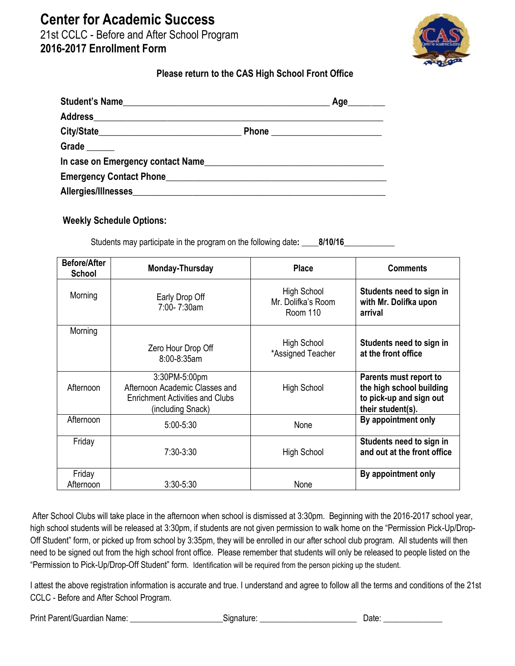## **Center for Academic Success**

21st CCLC - Before and After School Program **2016-2017 Enrollment Form** 



## **Please return to the CAS High School Front Office**

| Student's Name                                         | Age________ |
|--------------------------------------------------------|-------------|
|                                                        |             |
|                                                        |             |
| Grade                                                  |             |
| In case on Emergency contact Name                      |             |
| Emergency Contact Phone <b>Emergency</b> Contact Phone |             |
|                                                        |             |

## **Weekly Schedule Options:**

Students may participate in the program on the following date**: \_\_\_\_8/10/16\_\_\_\_\_\_\_\_\_\_\_\_**

| <b>Before/After</b><br><b>School</b> | Monday-Thursday                                                                                                | <b>Place</b>                                         | <b>Comments</b>                                                                                    |
|--------------------------------------|----------------------------------------------------------------------------------------------------------------|------------------------------------------------------|----------------------------------------------------------------------------------------------------|
| Morning                              | Early Drop Off<br>7:00-7:30am                                                                                  | High School<br>Mr. Dolifka's Room<br><b>Room 110</b> | Students need to sign in<br>with Mr. Dolifka upon<br>arrival                                       |
| Morning                              | Zero Hour Drop Off<br>8:00-8:35am                                                                              | <b>High School</b><br>*Assigned Teacher              | Students need to sign in<br>at the front office                                                    |
| Afternoon                            | 3:30PM-5:00pm<br>Afternoon Academic Classes and<br><b>Enrichment Activities and Clubs</b><br>(including Snack) | <b>High School</b>                                   | Parents must report to<br>the high school building<br>to pick-up and sign out<br>their student(s). |
| Afternoon                            | $5:00 - 5:30$                                                                                                  | None                                                 | By appointment only                                                                                |
| Friday                               | 7:30-3:30                                                                                                      | High School                                          | Students need to sign in<br>and out at the front office                                            |
| Friday<br>Afternoon                  | $3:30 - 5:30$                                                                                                  | None                                                 | By appointment only                                                                                |

After School Clubs will take place in the afternoon when school is dismissed at 3:30pm. Beginning with the 2016-2017 school year, high school students will be released at 3:30pm, if students are not given permission to walk home on the "Permission Pick-Up/Drop-Off Student" form, or picked up from school by 3:35pm, they will be enrolled in our after school club program. All students will then need to be signed out from the high school front office. Please remember that students will only be released to people listed on the "Permission to Pick-Up/Drop-Off Student" form. Identification will be required from the person picking up the student.

I attest the above registration information is accurate and true. I understand and agree to follow all the terms and conditions of the 21st CCLC - Before and After School Program.

Print Parent/Guardian Name: \_\_\_\_\_\_\_\_\_\_\_\_\_\_\_\_\_\_\_\_\_\_Signature: \_\_\_\_\_\_\_\_\_\_\_\_\_\_\_\_\_\_\_\_\_\_\_ Date: \_\_\_\_\_\_\_\_\_\_\_\_\_\_